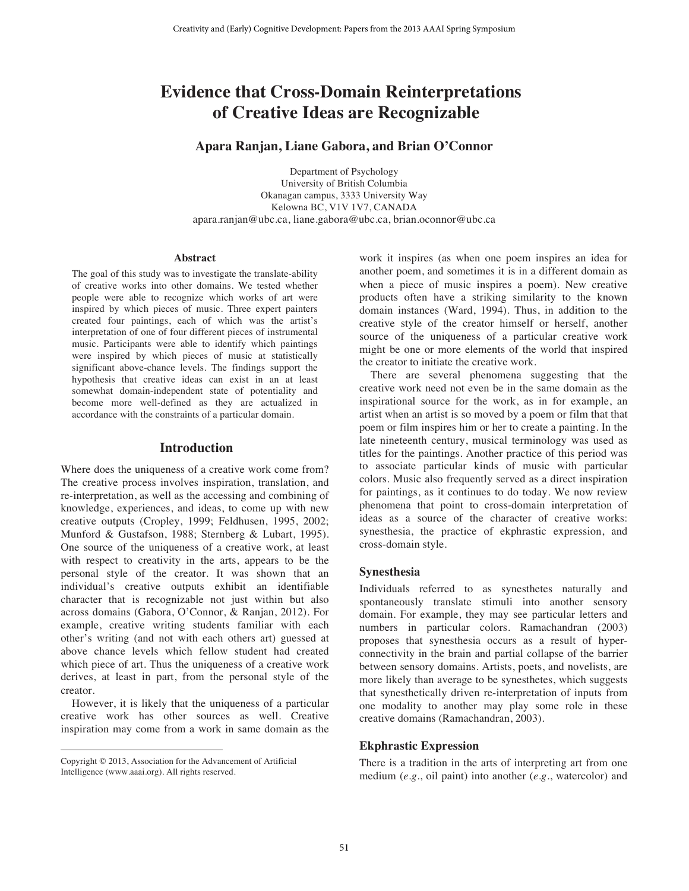# **Evidence that Cross-Domain Reinterpretations of Creative Ideas are Recognizable**

#### **Apara Ranjan, Liane Gabora, and Brian O'Connor**

Department of Psychology University of British Columbia Okanagan campus, 3333 University Way Kelowna BC, V1V 1V7, CANADA apara.ranjan@ubc.ca, liane.gabora@ubc.ca, brian.oconnor@ubc.ca

#### **Abstract**

The goal of this study was to investigate the translate-ability of creative works into other domains. We tested whether people were able to recognize which works of art were inspired by which pieces of music. Three expert painters created four paintings, each of which was the artist's interpretation of one of four different pieces of instrumental music. Participants were able to identify which paintings were inspired by which pieces of music at statistically significant above-chance levels. The findings support the hypothesis that creative ideas can exist in an at least somewhat domain-independent state of potentiality and become more well-defined as they are actualized in accordance with the constraints of a particular domain.

#### **Introduction**

Where does the uniqueness of a creative work come from? The creative process involves inspiration, translation, and re-interpretation, as well as the accessing and combining of knowledge, experiences, and ideas, to come up with new creative outputs (Cropley, 1999; Feldhusen, 1995, 2002; Munford & Gustafson, 1988; Sternberg & Lubart, 1995). One source of the uniqueness of a creative work, at least with respect to creativity in the arts, appears to be the personal style of the creator. It was shown that an individual's creative outputs exhibit an identifiable character that is recognizable not just within but also across domains (Gabora, O'Connor, & Ranjan, 2012). For example, creative writing students familiar with each other's writing (and not with each others art) guessed at above chance levels which fellow student had created which piece of art. Thus the uniqueness of a creative work derives, at least in part, from the personal style of the creator.

 However, it is likely that the uniqueness of a particular creative work has other sources as well. Creative inspiration may come from a work in same domain as the

 $\overline{a}$ 

work it inspires (as when one poem inspires an idea for another poem, and sometimes it is in a different domain as when a piece of music inspires a poem). New creative products often have a striking similarity to the known domain instances (Ward, 1994). Thus, in addition to the creative style of the creator himself or herself, another source of the uniqueness of a particular creative work might be one or more elements of the world that inspired the creator to initiate the creative work.

 There are several phenomena suggesting that the creative work need not even be in the same domain as the inspirational source for the work, as in for example, an artist when an artist is so moved by a poem or film that that poem or film inspires him or her to create a painting. In the late nineteenth century, musical terminology was used as titles for the paintings. Another practice of this period was to associate particular kinds of music with particular colors. Music also frequently served as a direct inspiration for paintings, as it continues to do today. We now review phenomena that point to cross-domain interpretation of ideas as a source of the character of creative works: synesthesia, the practice of ekphrastic expression, and cross-domain style.

#### **Synesthesia**

Individuals referred to as synesthetes naturally and spontaneously translate stimuli into another sensory domain. For example, they may see particular letters and numbers in particular colors. Ramachandran (2003) proposes that synesthesia occurs as a result of hyperconnectivity in the brain and partial collapse of the barrier between sensory domains. Artists, poets, and novelists, are more likely than average to be synesthetes, which suggests that synesthetically driven re-interpretation of inputs from one modality to another may play some role in these creative domains (Ramachandran, 2003).

### **Ekphrastic Expression**

There is a tradition in the arts of interpreting art from one medium (*e.g*., oil paint) into another (*e.g*., watercolor) and

Copyright © 2013, Association for the Advancement of Artificial Intelligence (www.aaai.org). All rights reserved.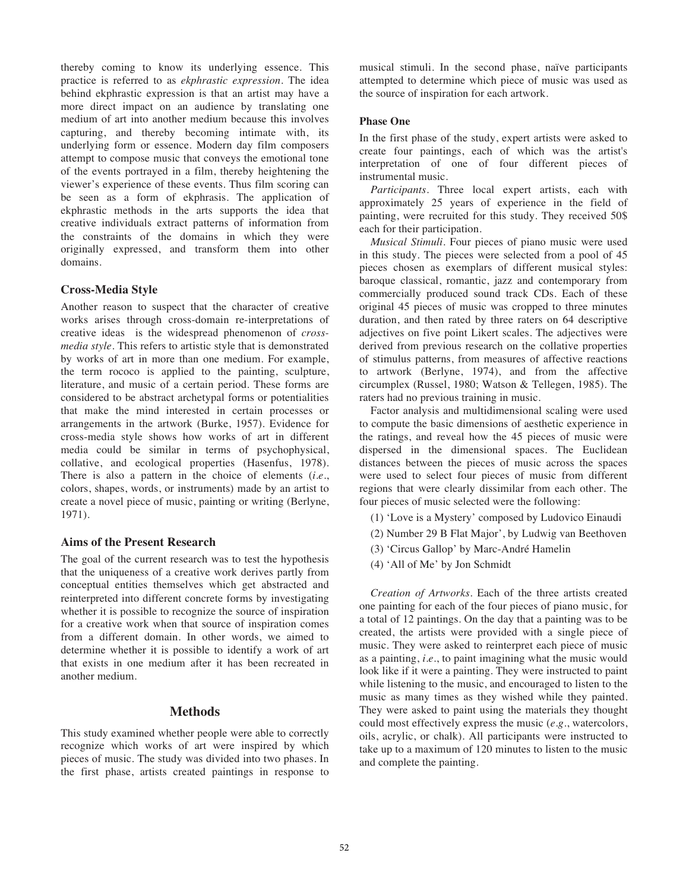thereby coming to know its underlying essence. This practice is referred to as *ekphrastic expression*. The idea behind ekphrastic expression is that an artist may have a more direct impact on an audience by translating one medium of art into another medium because this involves capturing, and thereby becoming intimate with, its underlying form or essence. Modern day film composers attempt to compose music that conveys the emotional tone of the events portrayed in a film, thereby heightening the viewer's experience of these events. Thus film scoring can be seen as a form of ekphrasis. The application of ekphrastic methods in the arts supports the idea that creative individuals extract patterns of information from the constraints of the domains in which they were originally expressed, and transform them into other domains.

# **Cross-Media Style**

Another reason to suspect that the character of creative works arises through cross-domain re-interpretations of creative ideas is the widespread phenomenon of *crossmedia style*. This refers to artistic style that is demonstrated by works of art in more than one medium. For example, the term rococo is applied to the painting, sculpture, literature, and music of a certain period. These forms are considered to be abstract archetypal forms or potentialities that make the mind interested in certain processes or arrangements in the artwork (Burke, 1957). Evidence for cross-media style shows how works of art in different media could be similar in terms of psychophysical, collative, and ecological properties (Hasenfus, 1978). There is also a pattern in the choice of elements (*i.e.*, colors, shapes, words, or instruments) made by an artist to create a novel piece of music, painting or writing (Berlyne, 1971).

# **Aims of the Present Research**

The goal of the current research was to test the hypothesis that the uniqueness of a creative work derives partly from conceptual entities themselves which get abstracted and reinterpreted into different concrete forms by investigating whether it is possible to recognize the source of inspiration for a creative work when that source of inspiration comes from a different domain. In other words, we aimed to determine whether it is possible to identify a work of art that exists in one medium after it has been recreated in another medium.

# **Methods**

This study examined whether people were able to correctly recognize which works of art were inspired by which pieces of music. The study was divided into two phases. In the first phase, artists created paintings in response to musical stimuli. In the second phase, naïve participants attempted to determine which piece of music was used as the source of inspiration for each artwork.

# **Phase One**

In the first phase of the study, expert artists were asked to create four paintings, each of which was the artist's interpretation of one of four different pieces of instrumental music.

 *Participants.* Three local expert artists, each with approximately 25 years of experience in the field of painting, were recruited for this study. They received 50\$ each for their participation.

*Musical Stimuli.* Four pieces of piano music were used in this study. The pieces were selected from a pool of 45 pieces chosen as exemplars of different musical styles: baroque classical, romantic, jazz and contemporary from commercially produced sound track CDs. Each of these original 45 pieces of music was cropped to three minutes duration, and then rated by three raters on 64 descriptive adjectives on five point Likert scales. The adjectives were derived from previous research on the collative properties of stimulus patterns, from measures of affective reactions to artwork (Berlyne, 1974), and from the affective circumplex (Russel, 1980; Watson & Tellegen, 1985). The raters had no previous training in music.

 Factor analysis and multidimensional scaling were used to compute the basic dimensions of aesthetic experience in the ratings, and reveal how the 45 pieces of music were dispersed in the dimensional spaces. The Euclidean distances between the pieces of music across the spaces were used to select four pieces of music from different regions that were clearly dissimilar from each other. The four pieces of music selected were the following:

- (1) 'Love is a Mystery' composed by Ludovico Einaudi
- (2) Number 29 B Flat Major', by Ludwig van Beethoven
- (3) 'Circus Gallop' by Marc-André Hamelin
- (4) 'All of Me' by Jon Schmidt

*Creation of Artworks*. Each of the three artists created one painting for each of the four pieces of piano music, for a total of 12 paintings. On the day that a painting was to be created, the artists were provided with a single piece of music. They were asked to reinterpret each piece of music as a painting, *i.e.*, to paint imagining what the music would look like if it were a painting. They were instructed to paint while listening to the music, and encouraged to listen to the music as many times as they wished while they painted. They were asked to paint using the materials they thought could most effectively express the music (*e.g*., watercolors, oils, acrylic, or chalk). All participants were instructed to take up to a maximum of 120 minutes to listen to the music and complete the painting.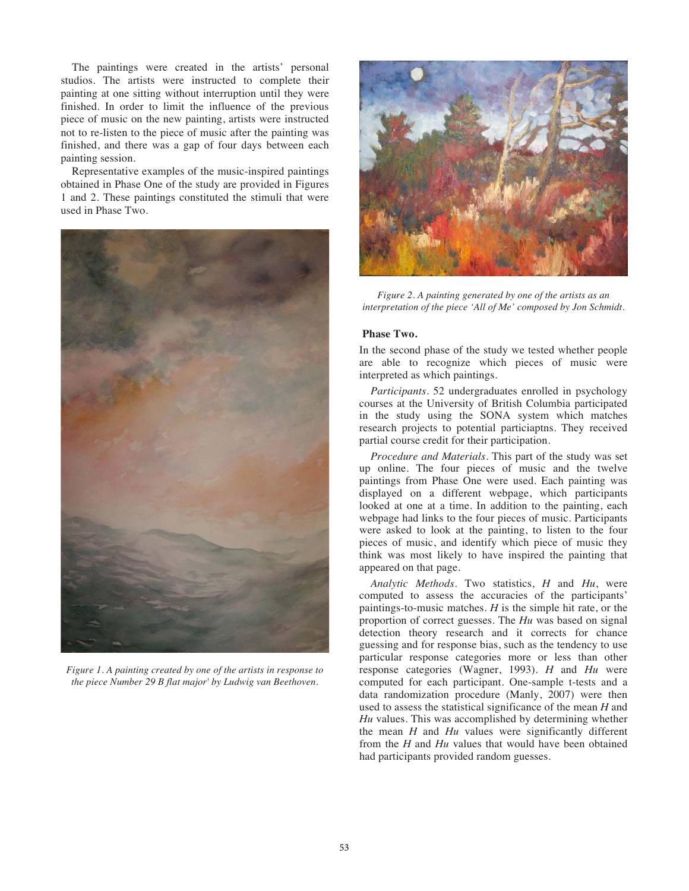The paintings were created in the artists' personal studios. The artists were instructed to complete their painting at one sitting without interruption until they were finished. In order to limit the influence of the previous piece of music on the new painting, artists were instructed not to re-listen to the piece of music after the painting was finished, and there was a gap of four days between each painting session.

 Representative examples of the music-inspired paintings obtained in Phase One of the study are provided in Figures 1 and 2. These paintings constituted the stimuli that were used in Phase Two.



*Figure 1. A painting created by one of the artists in response to the piece Number 29 B flat major' by Ludwig van Beethoven.* 



*Figure 2. A painting generated by one of the artists as an interpretation of the piece 'All of Me' composed by Jon Schmidt.* 

#### **Phase Two.**

In the second phase of the study we tested whether people are able to recognize which pieces of music were interpreted as which paintings.

*Participants.* 52 undergraduates enrolled in psychology courses at the University of British Columbia participated in the study using the SONA system which matches research projects to potential particiaptns. They received partial course credit for their participation.

*Procedure and Materials.* This part of the study was set up online. The four pieces of music and the twelve paintings from Phase One were used. Each painting was displayed on a different webpage, which participants looked at one at a time. In addition to the painting, each webpage had links to the four pieces of music. Participants were asked to look at the painting, to listen to the four pieces of music, and identify which piece of music they think was most likely to have inspired the painting that appeared on that page.

*Analytic Methods.* Two statistics, *H* and *Hu*, were computed to assess the accuracies of the participants' paintings-to-music matches. *H* is the simple hit rate, or the proportion of correct guesses. The *Hu* was based on signal detection theory research and it corrects for chance guessing and for response bias, such as the tendency to use particular response categories more or less than other response categories (Wagner, 1993). *H* and *Hu* were computed for each participant. One-sample t-tests and a data randomization procedure (Manly, 2007) were then used to assess the statistical significance of the mean *H* and *Hu* values. This was accomplished by determining whether the mean *H* and *Hu* values were significantly different from the *H* and *Hu* values that would have been obtained had participants provided random guesses.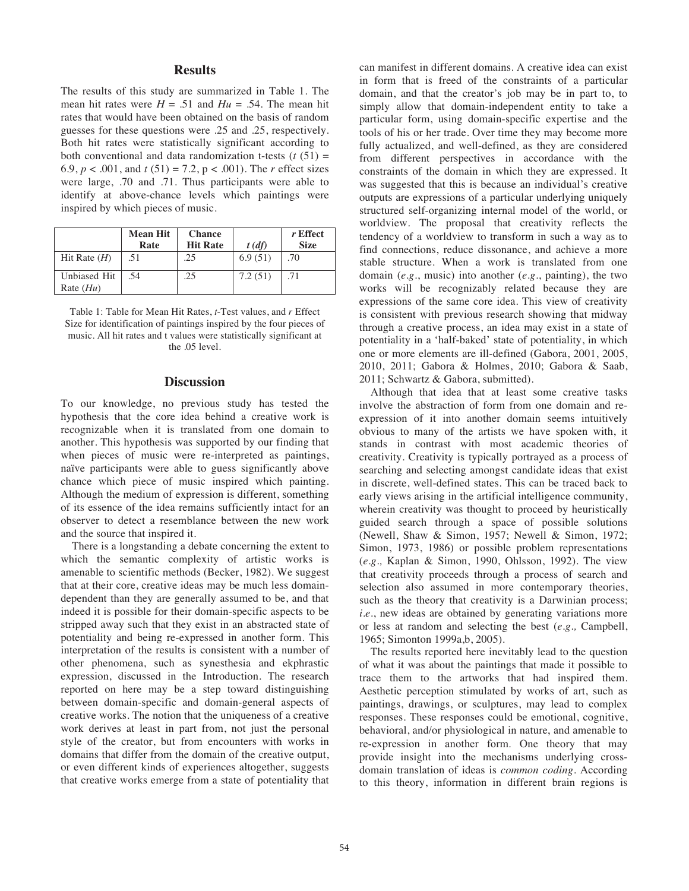## **Results**

The results of this study are summarized in Table 1. The mean hit rates were  $H = .51$  and  $Hu = .54$ . The mean hit rates that would have been obtained on the basis of random guesses for these questions were .25 and .25, respectively. Both hit rates were statistically significant according to both conventional and data randomization t-tests  $(t(51) =$ 6.9,  $p < .001$ , and  $t(51) = 7.2$ ,  $p < .001$ ). The *r* effect sizes were large, .70 and .71. Thus participants were able to identify at above-chance levels which paintings were inspired by which pieces of music.

|                             | <b>Mean Hit</b><br>Rate | <b>Chance</b><br><b>Hit Rate</b> | $t$ (df) | r Effect<br><b>Size</b> |
|-----------------------------|-------------------------|----------------------------------|----------|-------------------------|
| Hit Rate $(H)$              | .51                     | .25                              | 6.9(51)  | .70                     |
| Unbiased Hit<br>Rate $(Hu)$ | .54                     | .25                              | 7.2(51)  |                         |

Table 1: Table for Mean Hit Rates, *t*-Test values, and *r* Effect Size for identification of paintings inspired by the four pieces of music. All hit rates and t values were statistically significant at the .05 level.

### **Discussion**

To our knowledge, no previous study has tested the hypothesis that the core idea behind a creative work is recognizable when it is translated from one domain to another. This hypothesis was supported by our finding that when pieces of music were re-interpreted as paintings, naïve participants were able to guess significantly above chance which piece of music inspired which painting. Although the medium of expression is different, something of its essence of the idea remains sufficiently intact for an observer to detect a resemblance between the new work and the source that inspired it.

 There is a longstanding a debate concerning the extent to which the semantic complexity of artistic works is amenable to scientific methods (Becker, 1982). We suggest that at their core, creative ideas may be much less domaindependent than they are generally assumed to be, and that indeed it is possible for their domain-specific aspects to be stripped away such that they exist in an abstracted state of potentiality and being re-expressed in another form. This interpretation of the results is consistent with a number of other phenomena, such as synesthesia and ekphrastic expression, discussed in the Introduction. The research reported on here may be a step toward distinguishing between domain-specific and domain-general aspects of creative works. The notion that the uniqueness of a creative work derives at least in part from, not just the personal style of the creator, but from encounters with works in domains that differ from the domain of the creative output, or even different kinds of experiences altogether, suggests that creative works emerge from a state of potentiality that can manifest in different domains. A creative idea can exist in form that is freed of the constraints of a particular domain, and that the creator's job may be in part to, to simply allow that domain-independent entity to take a particular form, using domain-specific expertise and the tools of his or her trade. Over time they may become more fully actualized, and well-defined, as they are considered from different perspectives in accordance with the constraints of the domain in which they are expressed. It was suggested that this is because an individual's creative outputs are expressions of a particular underlying uniquely structured self-organizing internal model of the world, or worldview. The proposal that creativity reflects the tendency of a worldview to transform in such a way as to find connections, reduce dissonance, and achieve a more stable structure. When a work is translated from one domain (*e.g*., music) into another (*e.g*., painting), the two works will be recognizably related because they are expressions of the same core idea. This view of creativity is consistent with previous research showing that midway through a creative process, an idea may exist in a state of potentiality in a 'half-baked' state of potentiality, in which one or more elements are ill-defined (Gabora, 2001, 2005, 2010, 2011; Gabora & Holmes, 2010; Gabora & Saab, 2011; Schwartz & Gabora, submitted).

 Although that idea that at least some creative tasks involve the abstraction of form from one domain and reexpression of it into another domain seems intuitively obvious to many of the artists we have spoken with, it stands in contrast with most academic theories of creativity. Creativity is typically portrayed as a process of searching and selecting amongst candidate ideas that exist in discrete, well-defined states. This can be traced back to early views arising in the artificial intelligence community, wherein creativity was thought to proceed by heuristically guided search through a space of possible solutions (Newell, Shaw & Simon, 1957; Newell & Simon, 1972; Simon, 1973, 1986) or possible problem representations (*e.g.,* Kaplan & Simon, 1990, Ohlsson, 1992). The view that creativity proceeds through a process of search and selection also assumed in more contemporary theories, such as the theory that creativity is a Darwinian process; *i.e.*, new ideas are obtained by generating variations more or less at random and selecting the best (*e.g.,* Campbell, 1965; Simonton 1999a,b, 2005).

The results reported here inevitably lead to the question of what it was about the paintings that made it possible to trace them to the artworks that had inspired them. Aesthetic perception stimulated by works of art, such as paintings, drawings, or sculptures, may lead to complex responses. These responses could be emotional, cognitive, behavioral, and/or physiological in nature, and amenable to re-expression in another form. One theory that may provide insight into the mechanisms underlying crossdomain translation of ideas is *common coding*. According to this theory, information in different brain regions is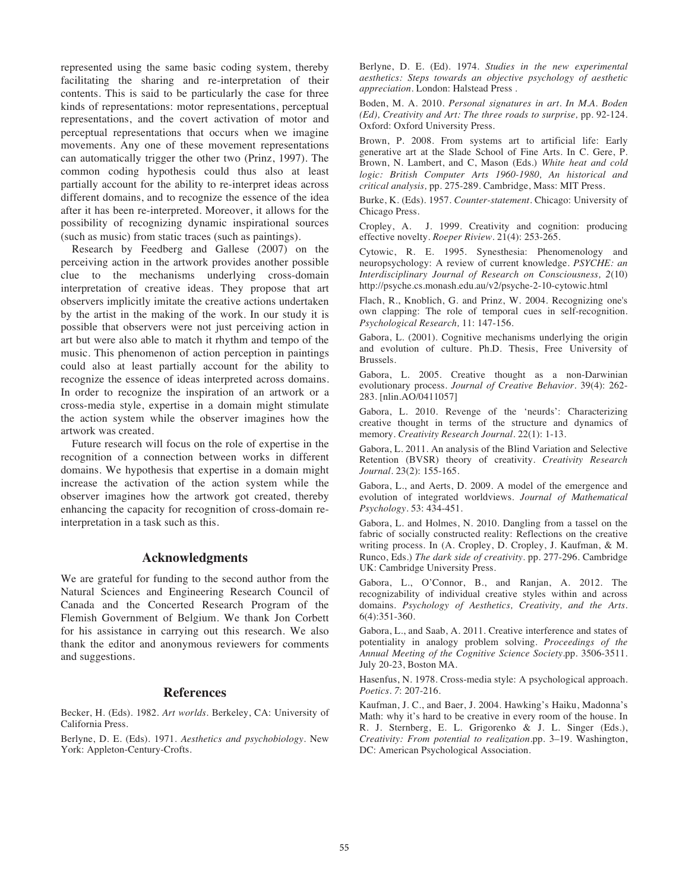represented using the same basic coding system, thereby facilitating the sharing and re-interpretation of their contents. This is said to be particularly the case for three kinds of representations: motor representations, perceptual representations, and the covert activation of motor and perceptual representations that occurs when we imagine movements. Any one of these movement representations can automatically trigger the other two (Prinz, 1997). The common coding hypothesis could thus also at least partially account for the ability to re-interpret ideas across different domains, and to recognize the essence of the idea after it has been re-interpreted. Moreover, it allows for the possibility of recognizing dynamic inspirational sources (such as music) from static traces (such as paintings).

Research by Feedberg and Gallese (2007) on the perceiving action in the artwork provides another possible clue to the mechanisms underlying cross-domain interpretation of creative ideas. They propose that art observers implicitly imitate the creative actions undertaken by the artist in the making of the work. In our study it is possible that observers were not just perceiving action in art but were also able to match it rhythm and tempo of the music. This phenomenon of action perception in paintings could also at least partially account for the ability to recognize the essence of ideas interpreted across domains. In order to recognize the inspiration of an artwork or a cross-media style, expertise in a domain might stimulate the action system while the observer imagines how the artwork was created.

Future research will focus on the role of expertise in the recognition of a connection between works in different domains. We hypothesis that expertise in a domain might increase the activation of the action system while the observer imagines how the artwork got created, thereby enhancing the capacity for recognition of cross-domain reinterpretation in a task such as this.

## **Acknowledgments**

We are grateful for funding to the second author from the Natural Sciences and Engineering Research Council of Canada and the Concerted Research Program of the Flemish Government of Belgium. We thank Jon Corbett for his assistance in carrying out this research. We also thank the editor and anonymous reviewers for comments and suggestions.

# **References**

Becker, H. (Eds). 1982. *Art worlds.* Berkeley, CA: University of California Press.

Berlyne, D. E. (Eds). 1971. *Aesthetics and psychobiology*. New York: Appleton-Century-Crofts.

Berlyne, D. E. (Ed). 1974. *Studies in the new experimental aesthetics: Steps towards an objective psychology of aesthetic appreciation*. London: Halstead Press .

Boden, M. A. 2010. *Personal signatures in art. In M.A. Boden (Ed), Creativity and Art: The three roads to surprise,* pp. 92-124. Oxford: Oxford University Press.

Brown, P. 2008. From systems art to artificial life: Early generative art at the Slade School of Fine Arts. In C. Gere, P. Brown, N. Lambert, and C, Mason (Eds.) *White heat and cold logic: British Computer Arts 1960-1980, An historical and critical analysis,* pp. 275-289. Cambridge, Mass: MIT Press.

Burke, K. (Eds). 1957. *Counter-statement.* Chicago: University of Chicago Press.

Cropley, A. J. 1999. Creativity and cognition: producing effective novelty. *Roeper Riview.* 21(4): 253-265.

Cytowic, R. E. 1995. Synesthesia: Phenomenology and neuropsychology: A review of current knowledge. *PSYCHE: an Interdisciplinary Journal of Research on Consciousness, 2*(10) http://psyche.cs.monash.edu.au/v2/psyche-2-10-cytowic.html

Flach, R., Knoblich, G. and Prinz, W. 2004. Recognizing one's own clapping: The role of temporal cues in self-recognition. *Psychological Research,* 11: 147-156.

Gabora, L. (2001). Cognitive mechanisms underlying the origin and evolution of culture. Ph.D. Thesis, Free University of Brussels.

Gabora, L. 2005. Creative thought as a non-Darwinian evolutionary process. *Journal of Creative Behavior.* 39(4): 262- 283. [nlin.AO/0411057]

Gabora, L. 2010. Revenge of the 'neurds': Characterizing creative thought in terms of the structure and dynamics of memory. *Creativity Research Journal.* 22(1): 1-13.

Gabora, L. 2011. An analysis of the Blind Variation and Selective Retention (BVSR) theory of creativity. *Creativity Research Journal.* 23(2): 155-165.

Gabora, L., and Aerts, D. 2009. A model of the emergence and evolution of integrated worldviews. *Journal of Mathematical Psychology.* 53: 434-451.

Gabora, L. and Holmes, N. 2010. Dangling from a tassel on the fabric of socially constructed reality: Reflections on the creative writing process. In (A. Cropley, D. Cropley, J. Kaufman, & M. Runco, Eds.) *The dark side of creativity.* pp. 277-296. Cambridge UK: Cambridge University Press.

Gabora, L., O'Connor, B., and Ranjan, A. 2012. The recognizability of individual creative styles within and across domains. *Psychology of Aesthetics, Creativity, and the Arts.*  6(4):351-360.

Gabora, L., and Saab, A. 2011. Creative interference and states of potentiality in analogy problem solving. *Proceedings of the Annual Meeting of the Cognitive Science Society*.pp. 3506-3511. July 20-23, Boston MA.

Hasenfus, N. 1978. Cross-media style: A psychological approach. *Poetics. 7*: 207-216.

Kaufman, J. C., and Baer, J. 2004. Hawking's Haiku, Madonna's Math: why it's hard to be creative in every room of the house. In R. J. Sternberg, E. L. Grigorenko & J. L. Singer (Eds.), *Creativity: From potential to realization*.pp. 3–19. Washington, DC: American Psychological Association.